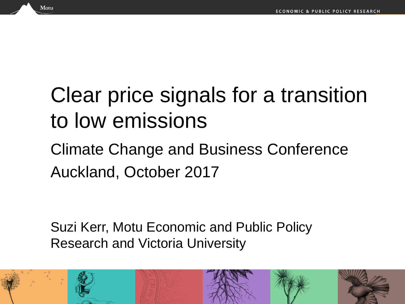## Clear price signals for a transition to low emissions

#### Climate Change and Business Conference Auckland, October 2017

Suzi Kerr, Motu Economic and Public Policy Research and Victoria University

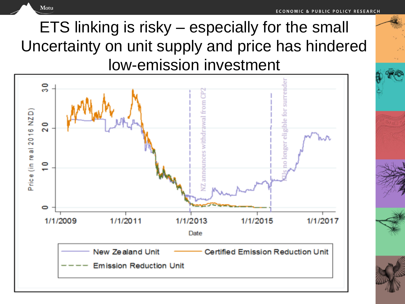ETS linking is risky – especially for the small Uncertainty on unit supply and price has hindered low-emission investment

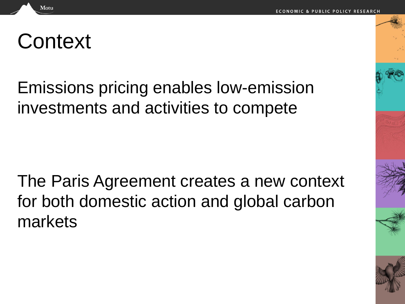### **Context**

Motu

Emissions pricing enables low-emission investments and activities to compete

The Paris Agreement creates a new context for both domestic action and global carbon markets

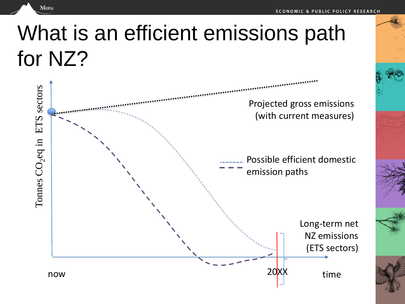# What is an efficient emissions path for NZ?

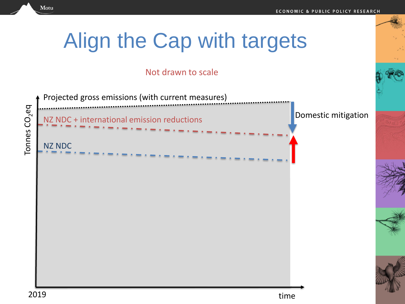## Align the Cap with targets

#### Not drawn to scale

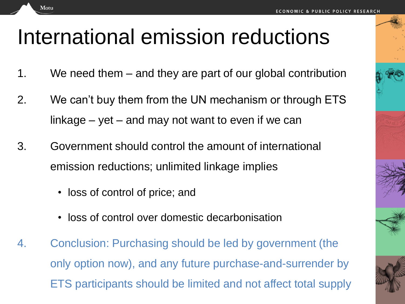## International emission reductions

- 1. We need them and they are part of our global contribution
- 2. We can't buy them from the UN mechanism or through ETS linkage  $-$  yet  $-$  and may not want to even if we can
- 3. Government should control the amount of international emission reductions; unlimited linkage implies
	- loss of control of price; and

- loss of control over domestic decarbonisation
- 4. Conclusion: Purchasing should be led by government (the only option now), and any future purchase-and-surrender by ETS participants should be limited and not affect total supply





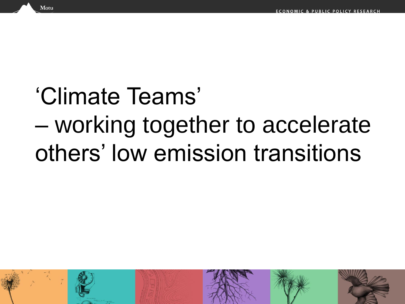# 'Climate Teams' – working together to accelerate others' low emission transitions



Vlotu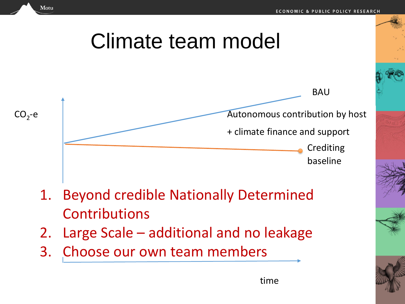### Climate team model



- 1. Beyond credible Nationally Determined **Contributions**
- 2. Large Scale additional and no leakage

time

3. Choose our own team members

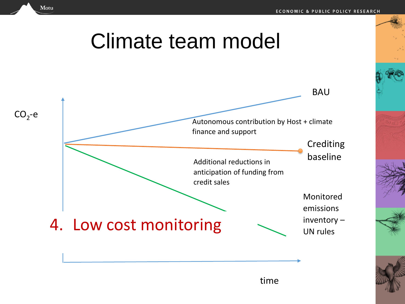### Climate team model



time

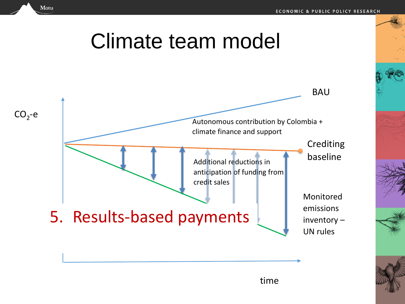### Climate team model



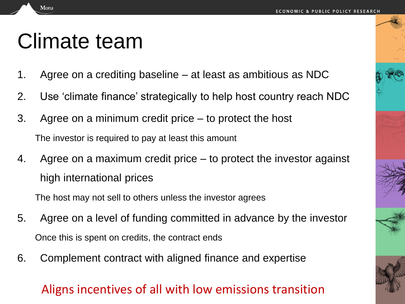## Climate team

Motu

- 1. Agree on a crediting baseline at least as ambitious as NDC
- 2. Use 'climate finance' strategically to help host country reach NDC
- 3. Agree on a minimum credit price to protect the host The investor is required to pay at least this amount
- 4. Agree on a maximum credit price to protect the investor against high international prices

The host may not sell to others unless the investor agrees

- 5. Agree on a level of funding committed in advance by the investor Once this is spent on credits, the contract ends
- 6. Complement contract with aligned finance and expertise

#### Aligns incentives of all with low emissions transition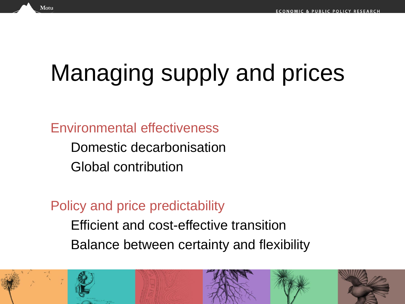# Managing supply and prices

Environmental effectiveness

Domestic decarbonisation Global contribution

Policy and price predictability

Efficient and cost-effective transition Balance between certainty and flexibility

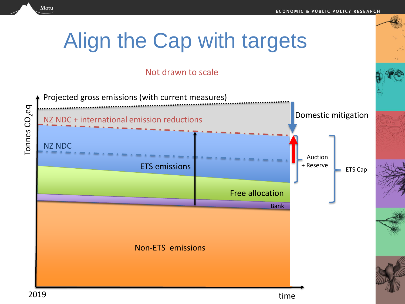## Align the Cap with targets

#### Not drawn to scale

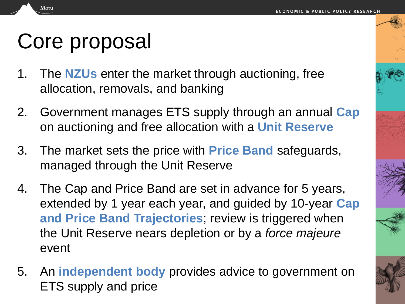## Core proposal

- 1. The **NZUs** enter the market through auctioning, free allocation, removals, and banking
- 2. Government manages ETS supply through an annual **Cap**  on auctioning and free allocation with a **Unit Reserve**
- 3. The market sets the price with **Price Band** safeguards, managed through the Unit Reserve
- 4. The Cap and Price Band are set in advance for 5 years, extended by 1 year each year, and guided by 10-year **Cap and Price Band Trajectories**; review is triggered when the Unit Reserve nears depletion or by a *force majeure*  event
- 5. An **independent body** provides advice to government on ETS supply and price